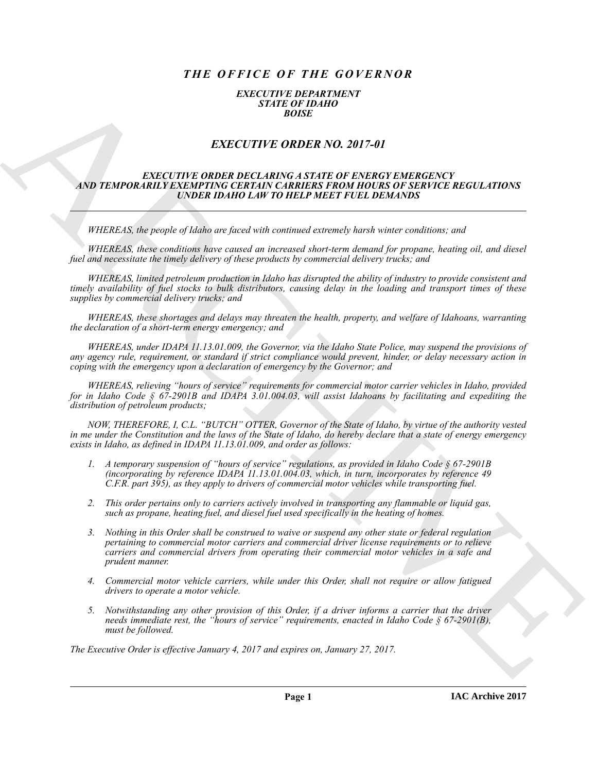# *THE OFFICE OF THE GOVERNOR*

### *EXECUTIVE DEPARTMENT STATE OF IDAHO BOISE*

## *EXECUTIVE ORDER NO. 2017-01*

#### *EXECUTIVE ORDER DECLARING A STATE OF ENERGY EMERGENCY AND TEMPORARILY EXEMPTING CERTAIN CARRIERS FROM HOURS OF SERVICE REGULATIONS UNDER IDAHO LAW TO HELP MEET FUEL DEMANDS*

*WHEREAS, the people of Idaho are faced with continued extremely harsh winter conditions; and*

*WHEREAS, these conditions have caused an increased short-term demand for propane, heating oil, and diesel fuel and necessitate the timely delivery of these products by commercial delivery trucks; and*

*WHEREAS, limited petroleum production in Idaho has disrupted the ability of industry to provide consistent and timely availability of fuel stocks to bulk distributors, causing delay in the loading and transport times of these supplies by commercial delivery trucks; and*

*WHEREAS, these shortages and delays may threaten the health, property, and welfare of Idahoans, warranting the declaration of a short-term energy emergency; and*

*WHEREAS, under IDAPA 11.13.01.009, the Governor, via the Idaho State Police, may suspend the provisions of any agency rule, requirement, or standard if strict compliance would prevent, hinder, or delay necessary action in coping with the emergency upon a declaration of emergency by the Governor; and*

*WHEREAS, relieving "hours of service" requirements for commercial motor carrier vehicles in Idaho, provided for in Idaho Code § 67-2901B and IDAPA 3.01.004.03, will assist Idahoans by facilitating and expediting the distribution of petroleum products;*

*NOW, THEREFORE, I, C.L. "BUTCH" OTTER, Governor of the State of Idaho, by virtue of the authority vested in me under the Constitution and the laws of the State of Idaho, do hereby declare that a state of energy emergency exists in Idaho, as defined in IDAPA 11.13.01.009, and order as follows:*

- *1. A temporary suspension of "hours of service" regulations, as provided in Idaho Code § 67-2901B (incorporating by reference IDAPA 11.13.01.004.03, which, in turn, incorporates by reference 49 C.F.R. part 395), as they apply to drivers of commercial motor vehicles while transporting fuel.*
- *2. This order pertains only to carriers actively involved in transporting any flammable or liquid gas, such as propane, heating fuel, and diesel fuel used specifically in the heating of homes.*
- EXACTLY THE ORDER NO. 2017-01<br>
EXACTLY CONDERN CONTINUES IN A STRIP OF EXAMPLE IN A STRIP OF THE CONDERN CONTINUES IN A STRIP OF THE CONDERN CONTINUES IN A STRIP OF THE CONDERN CONTINUES IN THE CONDERN CONTINUES IN THE CO *3. Nothing in this Order shall be construed to waive or suspend any other state or federal regulation pertaining to commercial motor carriers and commercial driver license requirements or to relieve carriers and commercial drivers from operating their commercial motor vehicles in a safe and prudent manner.*
	- *4. Commercial motor vehicle carriers, while under this Order, shall not require or allow fatigued drivers to operate a motor vehicle.*
	- *5. Notwithstanding any other provision of this Order, if a driver informs a carrier that the driver needs immediate rest, the "hours of service" requirements, enacted in Idaho Code § 67-2901(B), must be followed.*

*The Executive Order is effective January 4, 2017 and expires on, January 27, 2017.*